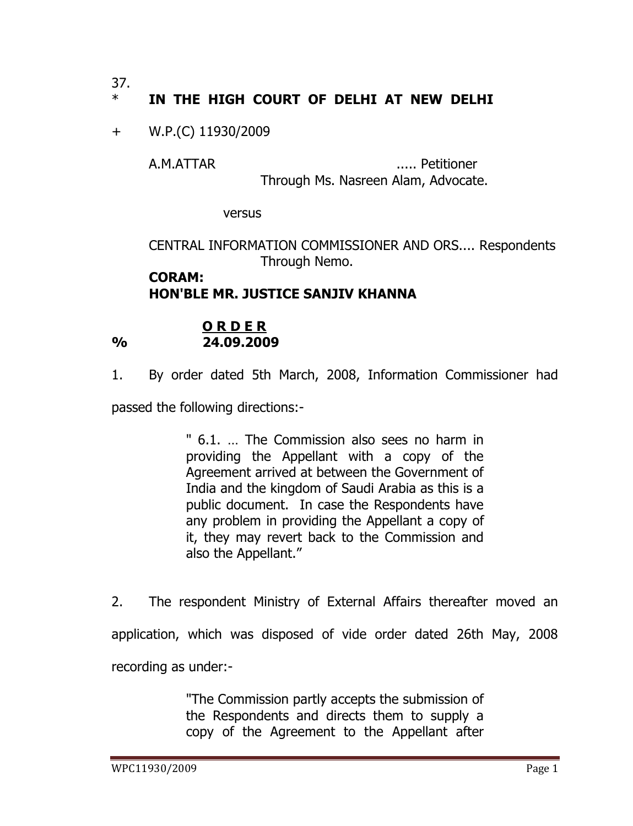37.

## \* **IN THE HIGH COURT OF DELHI AT NEW DELHI**

## + W.P.(C) 11930/2009

A.M.ATTAR ..... Petitioner Through Ms. Nasreen Alam, Advocate.

versus

CENTRAL INFORMATION COMMISSIONER AND ORS.... Respondents Through Nemo.

## **CORAM: HON'BLE MR. JUSTICE SANJIV KHANNA**

## **O R D E R % 24.09.2009**

1. By order dated 5th March, 2008, Information Commissioner had

passed the following directions:-

" 6.1. … The Commission also sees no harm in providing the Appellant with a copy of the Agreement arrived at between the Government of India and the kingdom of Saudi Arabia as this is a public document. In case the Respondents have any problem in providing the Appellant a copy of it, they may revert back to the Commission and also the Appellant."

2. The respondent Ministry of External Affairs thereafter moved an application, which was disposed of vide order dated 26th May, 2008 recording as under:-

> "The Commission partly accepts the submission of the Respondents and directs them to supply a copy of the Agreement to the Appellant after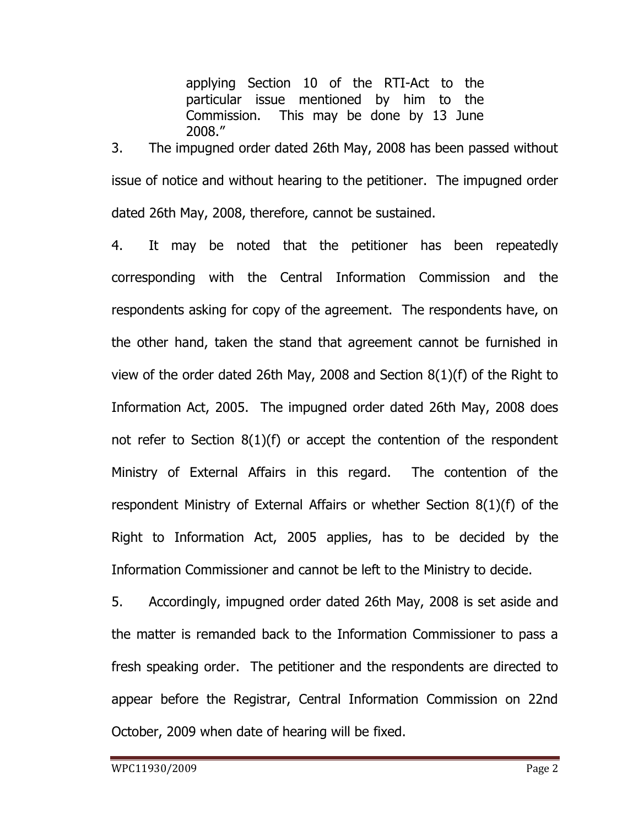applying Section 10 of the RTI-Act to the particular issue mentioned by him to the Commission. This may be done by 13 June 2008."

3. The impugned order dated 26th May, 2008 has been passed without issue of notice and without hearing to the petitioner. The impugned order dated 26th May, 2008, therefore, cannot be sustained.

4. It may be noted that the petitioner has been repeatedly corresponding with the Central Information Commission and the respondents asking for copy of the agreement. The respondents have, on the other hand, taken the stand that agreement cannot be furnished in view of the order dated 26th May, 2008 and Section 8(1)(f) of the Right to Information Act, 2005. The impugned order dated 26th May, 2008 does not refer to Section 8(1)(f) or accept the contention of the respondent Ministry of External Affairs in this regard. The contention of the respondent Ministry of External Affairs or whether Section 8(1)(f) of the Right to Information Act, 2005 applies, has to be decided by the Information Commissioner and cannot be left to the Ministry to decide.

5. Accordingly, impugned order dated 26th May, 2008 is set aside and the matter is remanded back to the Information Commissioner to pass a fresh speaking order. The petitioner and the respondents are directed to appear before the Registrar, Central Information Commission on 22nd October, 2009 when date of hearing will be fixed.